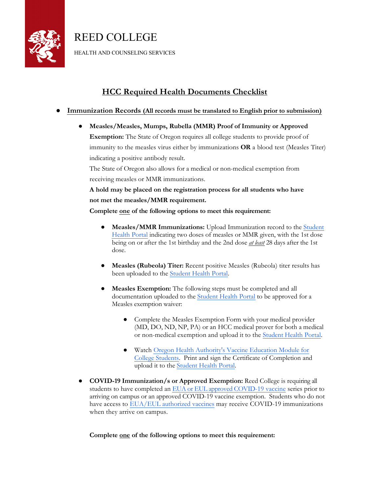

REED COLLEGE

HEALTH AND COUNSELING SERVICES

## **HCC Required Health Documents Checklist**

## ● **Immunization Records (All records must be translated to English prior to submission)**

● **Measles/Measles, Mumps, Rubella (MMR) Proof of Immunity or Approved Exemption:** The State of Oregon requires all college students to provide proof of immunity to the measles virus either by immunizations **OR** a blood test (Measles Titer) indicating a positive antibody result.

The State of Oregon also allows for a medical or non-medical exemption from receiving measles or MMR immunizations.

**A hold may be placed on the registration process for all students who have not met the measles/MMR requirement.**

**Complete one of the following options to meet this requirement:**

- **Measles/MMR Immunizations:** Upload Immunization record to the Student Health Portal [indicating two doses of measles or MMR given, with the 1st dose](https://reed.medicatconnect.com/Shibboleth.sso/Login?entityID=https%3A%2F%2Fidp.reed.edu%2Fidp%2Fshibboleth) being on or after the 1st birthday and the 2nd dose *at least* 28 days after the 1st dose.
- **Measles (Rubeola) Titer:** Recent positive Measles (Rubeola) titer results has been uploaded to the [Student Health Portal](https://reed.medicatconnect.com/Shibboleth.sso/Login?entityID=https%3A%2F%2Fidp.reed.edu%2Fidp%2Fshibboleth).
- **Measles Exemption:** The following steps must be completed and all documentation uploaded to the [Student Health Portal](https://reed.medicatconnect.com/Shibboleth.sso/Login?entityID=https%3A%2F%2Fidp.reed.edu%2Fidp%2Fshibboleth) to be approved for a Measles exemption waiver:
	- Complete the Measles Exemption Form with your medical provider (MD, DO, ND, NP, PA) or an HCC medical prover for both a medical or non-medical exemption and upload it to the [Student Health Portal.](https://reed.medicatconnect.com/Shibboleth.sso/Login?entityID=https%3A%2F%2Fidp.reed.edu%2Fidp%2Fshibboleth)
	- Watch Oregon Health Authority's Vaccine Education Module for [College Students. Print and sign the Certificate of Completion and](https://www.oregon.gov/oha/ph/preventionwellness/vaccinesimmunization/gettingimmunized/pages/non-medical-exemption.aspx) upload it to the [Student Health Portal](https://reed.medicatconnect.com/Shibboleth.sso/Login?entityID=https%3A%2F%2Fidp.reed.edu%2Fidp%2Fshibboleth).
- **COVID-19 Immunization/s or Approved Exemption:** Reed College is requiring all students to have completed an EUA or EUL approved [COVID-19](https://extranet.who.int/pqweb/vaccines/covid-19-vaccines) vaccine series prior to arriving on campus or an approved COVID-19 vaccine exemption. Students who do not have access to [EUA/EUL authorized vaccines](https://extranet.who.int/pqweb/vaccines/covid-19-vaccines) may receive COVID-19 immunizations when they arrive on campus.

**Complete one of the following options to meet this requirement:**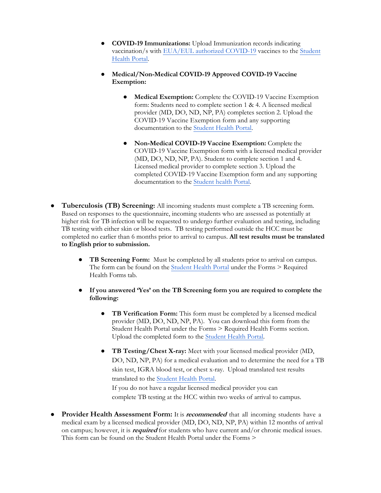- **COVID-19 Immunizations:** Upload Immunization records indicating [vaccination/s with](https://reed.medicatconnect.com/Shibboleth.sso/Login?entityID=https%3A%2F%2Fidp.reed.edu%2Fidp%2Fshibboleth) [EUA/EUL authorized COVID-19](https://extranet.who.int/pqweb/vaccines/covid-19-vaccines) [vaccines](https://reed.medicatconnect.com/Shibboleth.sso/Login?entityID=https%3A%2F%2Fidp.reed.edu%2Fidp%2Fshibboleth) to the Student Health Portal.
- **Medical/Non-Medical COVID-19 Approved COVID-19 Vaccine Exemption:**
	- **Medical Exemption:** Complete the COVID-19 Vaccine Exemption form: Students need to complete section 1 & 4. A licensed medical provider (MD, DO, ND, NP, PA) completes section 2. Upload the COVID-19 Vaccine Exemption form and any supporting documentation to the [Student Health Portal](https://reed.medicatconnect.com/Shibboleth.sso/Login?entityID=https%3A%2F%2Fidp.reed.edu%2Fidp%2Fshibboleth).
	- **Non-Medical COVID-19 Vaccine Exemption:** Complete the COVID-19 Vaccine Exemption form with a licensed medical provider (MD, DO, ND, NP, PA). Student to complete section 1 and 4. Licensed medical provider to complete section 3. Upload the completed COVID-19 Vaccine Exemption form and any supporting documentation to the [Student health Portal](https://reed.medicatconnect.com/Shibboleth.sso/Login?entityID=https%3A%2F%2Fidp.reed.edu%2Fidp%2Fshibboleth).
- **Tuberculosis (TB) Screening:** All incoming students must complete a TB screening form. Based on responses to the questionnaire, incoming students who are assessed as potentially at higher risk for TB infection will be requested to undergo further evaluation and testing, including TB testing with either skin or blood tests. TB testing performed outside the HCC must be completed no earlier than 6 months prior to arrival to campus. **All test results must be translated to English prior to submission.**
	- **TB Screening Form:** Must be completed by all students prior to arrival on campus. The form can be found on the [Student Health Portal](https://reed.medicatconnect.com/Shibboleth.sso/Login?entityID=https%3A%2F%2Fidp.reed.edu%2Fidp%2Fshibboleth) under the Forms > Required Health Forms tab.
	- **If you answered 'Yes' on the TB Screening form you are required to complete the following:**
		- **TB Verification Form:** This form must be completed by a licensed medical provider (MD, DO, ND, NP, PA). You can download this form from the Student Health Portal under the Forms > Required Health Forms section. Upload the completed form to the [Student Health Portal](https://reed.medicatconnect.com/Shibboleth.sso/Login?entityID=https%3A%2F%2Fidp.reed.edu%2Fidp%2Fshibboleth).
		- **TB Testing/Chest X-ray:** Meet with your licensed medical provider (MD, DO, ND, NP, PA) for a medical evaluation and to determine the need for a TB skin test, IGRA blood test, or chest x-ray. Upload translated test results translated to the [Student Health Portal.](https://reed.medicatconnect.com/Shibboleth.sso/Login?entityID=https%3A%2F%2Fidp.reed.edu%2Fidp%2Fshibboleth) If you do not have a regular licensed medical provider you can complete TB testing at the HCC within two weeks of arrival to campus.
- **Provider Health Assessment Form:** It is **recommended** that all incoming students have a medical exam by a licensed medical provider (MD, DO, ND, NP, PA) within 12 months of arrival on campus; however, it is **required** for students who have current and/or chronic medical issues. This form can be found on the Student Health Portal under the Forms >